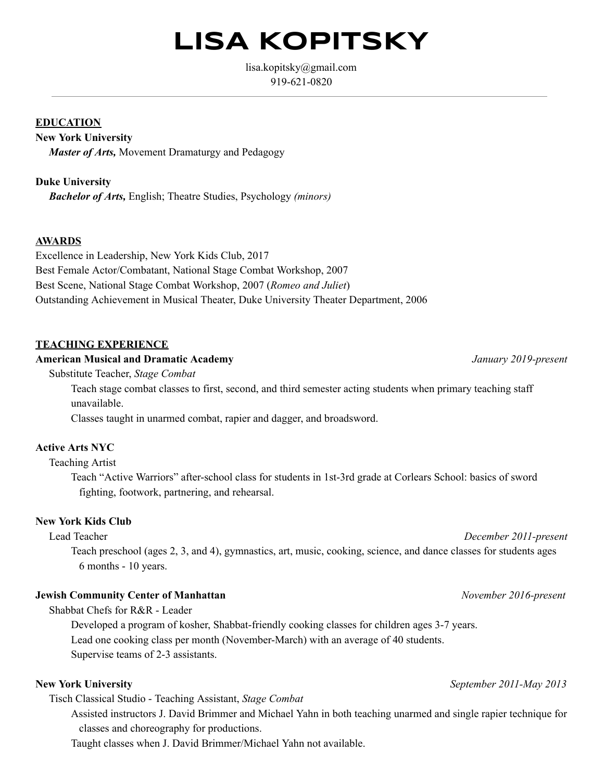# **LISA KOPITSKY**

lisa.kopitsky@gmail.com 919-621-0820

#### **EDUCATION**

# **New York University**

*Master of Arts,* Movement Dramaturgy and Pedagogy

**Duke University** *Bachelor of Arts,* English; Theatre Studies, Psychology *(minors)*

# **AWARDS**

Excellence in Leadership, New York Kids Club, 2017 Best Female Actor/Combatant, National Stage Combat Workshop, 2007 Best Scene, National Stage Combat Workshop, 2007 (*Romeo and Juliet*) Outstanding Achievement in Musical Theater, Duke University Theater Department, 2006

# **TEACHING EXPERIENCE**

#### **American Musical and Dramatic Academy** *January 2019present*

Substitute Teacher, *Stage Combat*

Teach stage combat classes to first, second, and third semester acting students when primary teaching staff unavailable.

Classes taught in unarmed combat, rapier and dagger, and broadsword.

# **Active Arts NYC**

### Teaching Artist

Teach "Active Warriors" after-school class for students in 1st-3rd grade at Corlears School: basics of sword fighting, footwork, partnering, and rehearsal.

### **New York Kids Club**

Lead Teacher *December 2011-present* 

Teach preschool (ages 2, 3, and 4), gymnastics, art, music, cooking, science, and dance classes for students ages 6 months - 10 years.

# **Jewish Community Center of Manhattan** *November 2016present*

Shabbat Chefs for R&R - Leader

Developed a program of kosher, Shabbat-friendly cooking classes for children ages 3-7 years. Lead one cooking class per month (November-March) with an average of 40 students. Supervise teams of 2-3 assistants.

Tisch Classical Studio Teaching Assistant, *Stage Combat*

Assisted instructors J. David Brimmer and Michael Yahn in both teaching unarmed and single rapier technique for classes and choreography for productions.

Taught classes when J. David Brimmer/Michael Yahn not available.

#### **New York University** *September 2011-May 2013*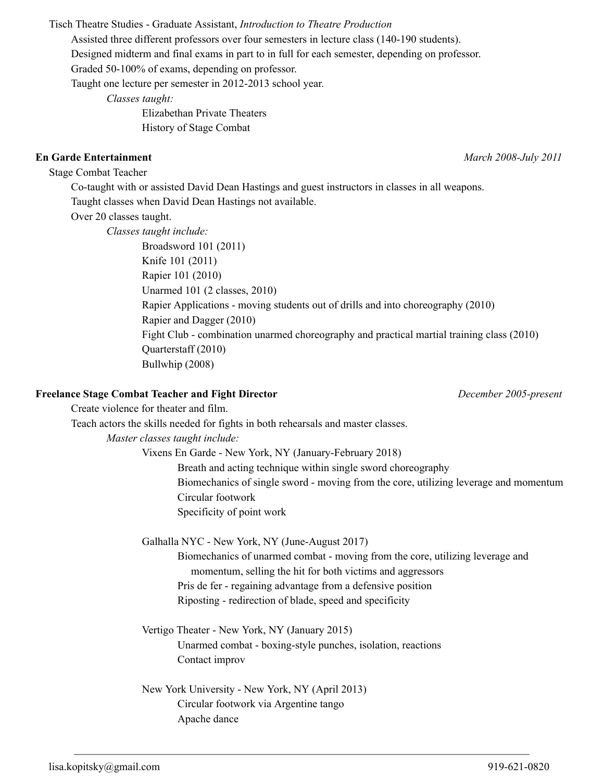Tisch Theatre Studies - Graduate Assistant, *Introduction to Theatre Production* 

Assisted three different professors over four semesters in lecture class (140190 students).

Designed midterm and final exams in part to in full for each semester, depending on professor.

Graded 50-100% of exams, depending on professor.

Taught one lecture per semester in 2012-2013 school year.

*Classes taught:*

Elizabethan Private Theaters History of Stage Combat

# **En Garde Entertainment** *March 2008July 2011*

Stage Combat Teacher

Co-taught with or assisted David Dean Hastings and guest instructors in classes in all weapons. Taught classes when David Dean Hastings not available.

Over 20 classes taught.

*Classes taught include:* Broadsword 101 (2011) Knife 101 (2011) Rapier 101 (2010) Unarmed 101 (2 classes, 2010) Rapier Applications - moving students out of drills and into choreography (2010) Rapier and Dagger (2010) Fight Club - combination unarmed choreography and practical martial training class (2010) Quarterstaff (2010) Bullwhip (2008)

# **Freelance Stage Combat Teacher and Fight Director** *December 2005present*

Create violence for theater and film. Teach actors the skills needed for fights in both rehearsals and master classes. *Master classes taught include:* Vixens En Garde - New York, NY (January-February 2018) Breath and acting technique within single sword choreography Biomechanics of single sword - moving from the core, utilizing leverage and momentum Circular footwork Specificity of point work Galhalla NYC - New York, NY (June-August 2017) Biomechanics of unarmed combat - moving from the core, utilizing leverage and momentum, selling the hit for both victims and aggressors

Pris de fer regaining advantage from a defensive position

Riposting - redirection of blade, speed and specificity

Vertigo Theater - New York, NY (January 2015) Unarmed combat - boxing-style punches, isolation, reactions Contact improv

New York University - New York, NY (April 2013) Circular footwork via Argentine tango Apache dance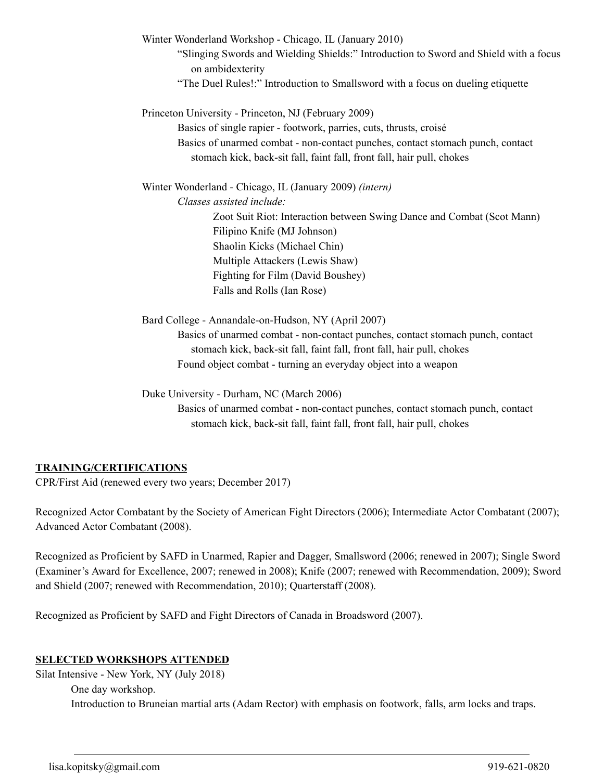Winter Wonderland Workshop - Chicago, IL (January 2010) "Slinging Swords and Wielding Shields:" Introduction to Sword and Shield with a focus on ambidexterity "The Duel Rules!:" Introduction to Smallsword with a focus on dueling etiquette Princeton University - Princeton, NJ (February 2009) Basics of single rapier - footwork, parries, cuts, thrusts, croisé Basics of unarmed combat - non-contact punches, contact stomach punch, contact stomach kick, back-sit fall, faint fall, front fall, hair pull, chokes Winter Wonderland Chicago, IL (January 2009) *(intern) Classes assisted include:* Zoot Suit Riot: Interaction between Swing Dance and Combat (Scot Mann) Filipino Knife (MJ Johnson) Shaolin Kicks (Michael Chin) Multiple Attackers (Lewis Shaw) Fighting for Film (David Boushey) Falls and Rolls (Ian Rose)

Bard College - Annandale-on-Hudson, NY (April 2007) Basics of unarmed combat - non-contact punches, contact stomach punch, contact stomach kick, back-sit fall, faint fall, front fall, hair pull, chokes Found object combat - turning an everyday object into a weapon

Duke University - Durham, NC (March 2006)

Basics of unarmed combat - non-contact punches, contact stomach punch, contact stomach kick, back-sit fall, faint fall, front fall, hair pull, chokes

### **TRAINING/CERTIFICATIONS**

CPR/First Aid (renewed every two years; December 2017)

Recognized Actor Combatant by the Society of American Fight Directors (2006); Intermediate Actor Combatant (2007); Advanced Actor Combatant (2008).

Recognized as Proficient by SAFD in Unarmed, Rapier and Dagger, Smallsword (2006; renewed in 2007); Single Sword (Examiner's Award for Excellence, 2007; renewed in 2008); Knife (2007; renewed with Recommendation, 2009); Sword and Shield (2007; renewed with Recommendation, 2010); Quarterstaff (2008).

Recognized as Proficient by SAFD and Fight Directors of Canada in Broadsword (2007).

#### **SELECTED WORKSHOPS ATTENDED**

Silat Intensive - New York, NY (July 2018) One day workshop. Introduction to Bruneian martial arts (Adam Rector) with emphasis on footwork, falls, arm locks and traps.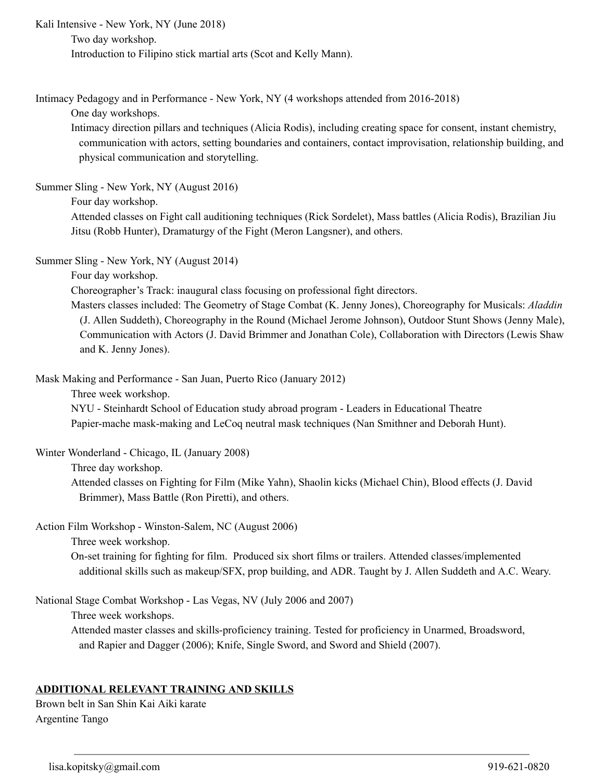Kali Intensive - New York, NY (June 2018) Two day workshop. Introduction to Filipino stick martial arts (Scot and Kelly Mann).

Intimacy Pedagogy and in Performance - New York, NY (4 workshops attended from 2016-2018)

One day workshops.

Intimacy direction pillars and techniques (Alicia Rodis), including creating space for consent, instant chemistry, communication with actors, setting boundaries and containers, contact improvisation, relationship building, and physical communication and storytelling.

Summer Sling - New York, NY (August 2016)

Four day workshop.

Attended classes on Fight call auditioning techniques (Rick Sordelet), Mass battles (Alicia Rodis), Brazilian Jiu Jitsu (Robb Hunter), Dramaturgy of the Fight (Meron Langsner), and others.

Summer Sling - New York, NY (August 2014)

Four day workshop.

Choreographer's Track: inaugural class focusing on professional fight directors.

Masters classes included: The Geometry of Stage Combat (K. Jenny Jones), Choreography for Musicals: *Aladdin* (J. Allen Suddeth), Choreography in the Round (Michael Jerome Johnson), Outdoor Stunt Shows (Jenny Male), Communication with Actors (J. David Brimmer and Jonathan Cole), Collaboration with Directors (Lewis Shaw and K. Jenny Jones).

Mask Making and Performance - San Juan, Puerto Rico (January 2012)

Three week workshop.

NYU - Steinhardt School of Education study abroad program - Leaders in Educational Theatre Papier-mache mask-making and LeCoq neutral mask techniques (Nan Smithner and Deborah Hunt).

Winter Wonderland - Chicago, IL (January 2008)

Three day workshop.

Attended classes on Fighting for Film (Mike Yahn), Shaolin kicks (Michael Chin), Blood effects (J. David Brimmer), Mass Battle (Ron Piretti), and others.

Action Film Workshop - Winston-Salem, NC (August 2006)

Three week workshop.

Onset training for fighting for film. Produced six short films or trailers. Attended classes/implemented additional skills such as makeup/SFX, prop building, and ADR. Taught by J. Allen Suddeth and A.C. Weary.

National Stage Combat Workshop - Las Vegas, NV (July 2006 and 2007)

Three week workshops.

Attended master classes and skills-proficiency training. Tested for proficiency in Unarmed, Broadsword, and Rapier and Dagger (2006); Knife, Single Sword, and Sword and Shield (2007).

### **ADDITIONAL RELEVANT TRAINING AND SKILLS**

Brown belt in San Shin Kai Aiki karate Argentine Tango